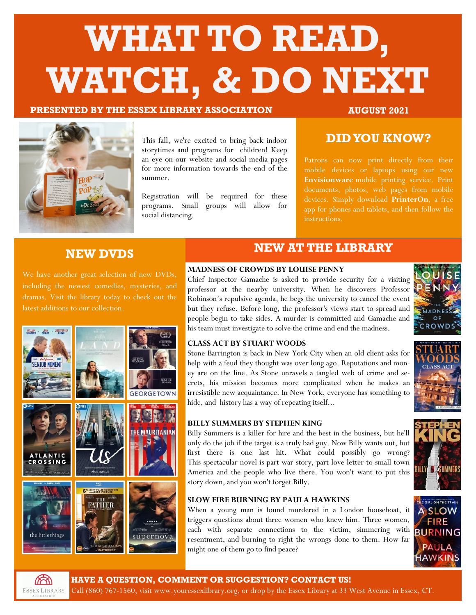# **WHAT TO READ, WATCH, & DO NEXT**

### **PRESENTED BY THE ESSEX LIBRARY ASSOCIATION AUGUST 2021**

**GEORGETOWN** 

THE MAURITANIAN



This fall, we're excited to bring back indoor storytimes and programs for children! Keep an eye on our website and social media pages for more information towards the end of the summer.

Registration will be required for these programs. Small groups will allow for social distancing.

### **DID YOU KNOW?**

mobile devices or laptops using our new **Envisionware** mobile printing service. Print documents, photos, web pages from mobile devices. Simply download **PrinterOn**, a free app for phones and tablets, and then follow the instructions.

### **NEW DVDS**

We have another great selection of new DVDs, including the newest comedies, mysteries, and latest additions to our collection.

**FATHER** 



### **MADNESS OF CROWDS BY LOUISE PENNY**

Chief Inspector Gamache is asked to provide security for a visiting professor at the nearby university. When he discovers Professor Robinson's repulsive agenda, he begs the university to cancel the event but they refuse. Before long, the professor's views start to spread and people begin to take sides. A murder is committed and Gamache and his team must investigate to solve the crime and end the madness.



### **CLASS ACT BY STUART WOODS**

Stone Barrington is back in New York City when an old client asks for help with a feud they thought was over long ago. Reputations and money are on the line. As Stone unravels a tangled web of crime and secrets, his mission becomes more complicated when he makes an irresistible new acquaintance. In New York, everyone has something to hide, and history has a way of repeating itself...



### **BILLY SUMMERS BY STEPHEN KING**

Billy Summers is a killer for hire and the best in the business, but he'll only do the job if the target is a truly bad guy. Now Billy wants out, but first there is one last hit. What could possibly go wrong? This spectacular novel is part war story, part love letter to small town America and the people who live there. You won't want to put this story down, and you won't forget Billy.

### **SLOW FIRE BURNING BY PAULA HAWKINS**

When a young man is found murdered in a London houseboat, it triggers questions about three women who knew him. Three women, each with separate connections to the victim, simmering with **BURNING** resentment, and burning to right the wrongs done to them. How far might one of them go to find peace?







WILLIAM EAN CHRISTOPHE

**ENTOR MONENT** 

ATLANTIC OSSING

e little things

**HAVE A QUESTION, COMMENT OR SUGGESTION? CONTACT US!** 

Call (860) 767-1560, visit [www.youressexlibrary.org,](http://www.youressexlibrary.org/) or drop by the Essex Library at 33 West Avenue in Essex, CT.